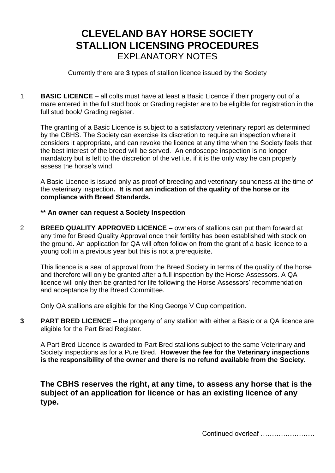# **CLEVELAND BAY HORSE SOCIETY STALLION LICENSING PROCEDURES** EXPLANATORY NOTES

Currently there are **3** types of stallion licence issued by the Society

1 **BASIC LICENCE** – all colts must have at least a Basic Licence if their progeny out of a mare entered in the full stud book or Grading register are to be eligible for registration in the full stud book/ Grading register.

The granting of a Basic Licence is subject to a satisfactory veterinary report as determined by the CBHS. The Society can exercise its discretion to require an inspection where it considers it appropriate, and can revoke the licence at any time when the Society feels that the best interest of the breed will be served. An endoscope inspection is no longer mandatory but is left to the discretion of the vet i.e. if it is the only way he can properly assess the horse's wind.

A Basic Licence is issued only as proof of breeding and veterinary soundness at the time of the veterinary inspection**. It is not an indication of the quality of the horse or its compliance with Breed Standards.**

### **\*\* An owner can request a Society Inspection**

2 **BREED QUALITY APPROVED LICENCE –** owners of stallions can put them forward at any time for Breed Quality Approval once their fertility has been established with stock on the ground. An application for QA will often follow on from the grant of a basic licence to a young colt in a previous year but this is not a prerequisite.

This licence is a seal of approval from the Breed Society in terms of the quality of the horse and therefore will only be granted after a full inspection by the Horse Assessors. A QA licence will only then be granted for life following the Horse Assessors' recommendation and acceptance by the Breed Committee.

Only QA stallions are eligible for the King George V Cup competition.

**3 PART BRED LICENCE –** the progeny of any stallion with either a Basic or a QA licence are eligible for the Part Bred Register.

A Part Bred Licence is awarded to Part Bred stallions subject to the same Veterinary and Society inspections as for a Pure Bred. **However the fee for the Veterinary inspections is the responsibility of the owner and there is no refund available from the Society.**

**The CBHS reserves the right, at any time, to assess any horse that is the subject of an application for licence or has an existing licence of any type.**

Continued overleaf ……………………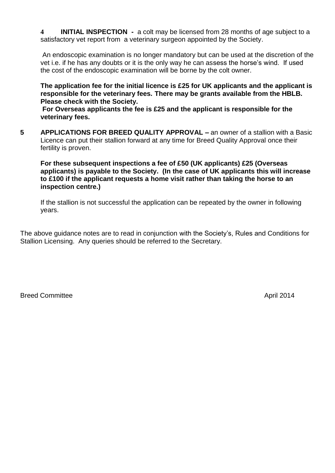**4 INITIAL INSPECTION -** a colt may be licensed from 28 months of age subject to a satisfactory vet report from a veterinary surgeon appointed by the Society.

An endoscopic examination is no longer mandatory but can be used at the discretion of the vet i.e. if he has any doubts or it is the only way he can assess the horse's wind. If used the cost of the endoscopic examination will be borne by the colt owner.

**The application fee for the initial licence is £25 for UK applicants and the applicant is responsible for the veterinary fees. There may be grants available from the HBLB. Please check with the Society.**

**For Overseas applicants the fee is £25 and the applicant is responsible for the veterinary fees.**

**5 APPLICATIONS FOR BREED QUALITY APPROVAL –** an owner of a stallion with a Basic Licence can put their stallion forward at any time for Breed Quality Approval once their fertility is proven.

**For these subsequent inspections a fee of £50 (UK applicants) £25 (Overseas applicants) is payable to the Society. (In the case of UK applicants this will increase to £100 if the applicant requests a home visit rather than taking the horse to an inspection centre.)**

If the stallion is not successful the application can be repeated by the owner in following years.

The above guidance notes are to read in conjunction with the Society's, Rules and Conditions for Stallion Licensing. Any queries should be referred to the Secretary.

Breed Committee April 2014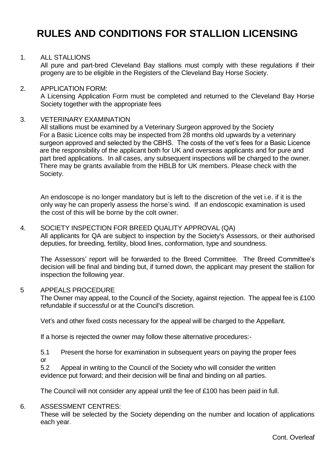# **RULES AND CONDITIONS FOR STALLION LICENSING**

#### 1. ALL STALLIONS

All pure and part-bred Cleveland Bay stallions must comply with these regulations if their progeny are to be eligible in the Registers of the Cleveland Bay Horse Society.

#### 2. APPLICATION FORM:

A Licensing Application Form must be completed and returned to the Cleveland Bay Horse Society together with the appropriate fees

#### 3. VETERINARY EXAMINATION

All stallions must be examined by a Veterinary Surgeon approved by the Society For a Basic Licence colts may be inspected from 28 months old upwards by a veterinary surgeon approved and selected by the CBHS. The costs of the vet's fees for a Basic Licence are the responsibility of the applicant both for UK and overseas applicants and for pure and part bred applications. In all cases, any subsequent inspections will be charged to the owner. There may be grants available from the HBLB for UK members. Please check with the Society.

An endoscope is no longer mandatory but is left to the discretion of the vet i.e. if it is the only way he can properly assess the horse's wind. If an endoscopic examination is used the cost of this will be borne by the colt owner.

#### 4. SOCIETY INSPECTION FOR BREED QUALITY APPROVAL (QA)

All applicants for QA are subject to inspection by the Society's Assessors, or their authorised deputies, for breeding, fertility, blood lines, conformation, type and soundness.

The Assessors' report will be forwarded to the Breed Committee. The Breed Committee's decision will be final and binding but, if turned down, the applicant may present the stallion for inspection the following year.

#### 5 APPEALS PROCEDURE

The Owner may appeal, to the Council of the Society, against rejection. The appeal fee is £100 refundable if successful or at the Council's discretion.

Vet's and other fixed costs necessary for the appeal will be charged to the Appellant.

If a horse is rejected the owner may follow these alternative procedures:-

5.1 Present the horse for examination in subsequent years on paying the proper fees or

5.2 Appeal in writing to the Council of the Society who will consider the written evidence put forward; and their decision will be final and binding on all parties.

The Council will not consider any appeal until the fee of £100 has been paid in full.

#### 6. ASSESSMENT CENTRES:

These will be selected by the Society depending on the number and location of applications each year.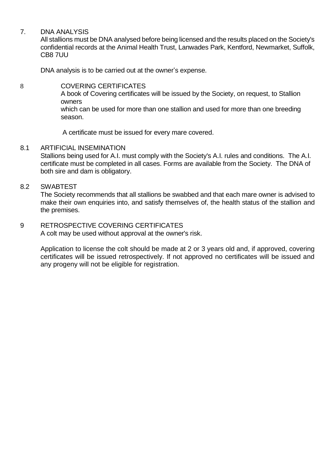### 7. DNA ANALYSIS

All stallions must be DNA analysed before being licensed and the results placed on the Society's confidential records at the Animal Health Trust, Lanwades Park, Kentford, Newmarket, Suffolk, CB8 7UU

DNA analysis is to be carried out at the owner's expense.

## 8 COVERING CERTIFICATES

A book of Covering certificates will be issued by the Society, on request, to Stallion owners

which can be used for more than one stallion and used for more than one breeding season.

A certificate must be issued for every mare covered.

#### 8.1 ARTIFICIAL INSEMINATION

Stallions being used for A.I. must comply with the Society's A.I. rules and conditions. The A.I. certificate must be completed in all cases. Forms are available from the Society. The DNA of both sire and dam is obligatory.

#### 8.2 SWABTEST

The Society recommends that all stallions be swabbed and that each mare owner is advised to make their own enquiries into, and satisfy themselves of, the health status of the stallion and the premises.

# 9 RETROSPECTIVE COVERING CERTIFICATES

A colt may be used without approval at the owner's risk.

Application to license the colt should be made at 2 or 3 years old and, if approved, covering certificates will be issued retrospectively. If not approved no certificates will be issued and any progeny will not be eligible for registration.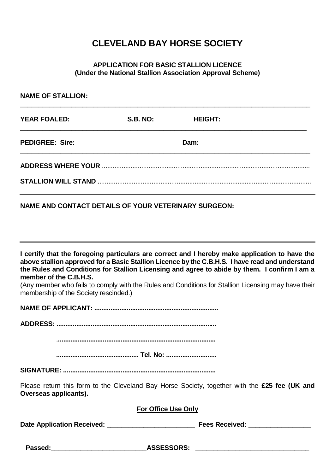# **CLEVELAND BAY HORSE SOCIETY**

### **APPLICATION FOR BASIC STALLION LICENCE (Under the National Stallion Association Approval Scheme)**

| <b>NAME OF STALLION:</b>                                        |                 |                                                                                                                                                                                                                                                                                                                                                                                                          |
|-----------------------------------------------------------------|-----------------|----------------------------------------------------------------------------------------------------------------------------------------------------------------------------------------------------------------------------------------------------------------------------------------------------------------------------------------------------------------------------------------------------------|
| <b>YEAR FOALED:</b>                                             | <b>S.B. NO:</b> | <b>HEIGHT:</b>                                                                                                                                                                                                                                                                                                                                                                                           |
| <b>PEDIGREE: Sire:</b>                                          |                 | Dam:                                                                                                                                                                                                                                                                                                                                                                                                     |
|                                                                 |                 |                                                                                                                                                                                                                                                                                                                                                                                                          |
|                                                                 |                 |                                                                                                                                                                                                                                                                                                                                                                                                          |
| <b>NAME AND CONTACT DETAILS OF YOUR VETERINARY SURGEON:</b>     |                 |                                                                                                                                                                                                                                                                                                                                                                                                          |
| member of the C.B.H.S.<br>membership of the Society rescinded.) |                 | I certify that the foregoing particulars are correct and I hereby make application to have the<br>above stallion approved for a Basic Stallion Licence by the C.B.H.S. I have read and understand<br>the Rules and Conditions for Stallion Licensing and agree to abide by them. I confirm I am a<br>(Any member who fails to comply with the Rules and Conditions for Stallion Licensing may have their |
|                                                                 |                 |                                                                                                                                                                                                                                                                                                                                                                                                          |
|                                                                 |                 |                                                                                                                                                                                                                                                                                                                                                                                                          |
|                                                                 |                 |                                                                                                                                                                                                                                                                                                                                                                                                          |
|                                                                 |                 |                                                                                                                                                                                                                                                                                                                                                                                                          |

**SIGNATURE: .....................................................................................**

Please return this form to the Cleveland Bay Horse Society, together with the **£25 fee (UK and Overseas applicants).**

### **For Office Use Only**

**Date Application Received: \_\_\_\_\_\_\_\_\_\_\_\_\_\_\_\_\_\_\_\_\_\_\_\_ Fees Received: \_\_\_\_\_\_\_\_\_\_\_\_\_\_\_\_\_**

**Passed:\_\_\_\_\_\_\_\_\_\_\_\_\_\_\_\_\_\_\_\_\_\_\_\_\_\_ASSESSORS: \_\_\_\_\_\_\_\_\_\_\_\_\_\_\_\_\_\_\_\_\_\_\_\_\_\_\_\_\_\_\_**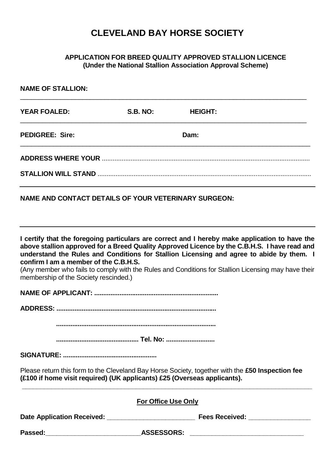# **CLEVELAND BAY HORSE SOCIETY**

## **APPLICATION FOR BREED QUALITY APPROVED STALLION LICENCE (Under the National Stallion Association Approval Scheme)**

| <b>NAME OF STALLION:</b>                                                                                                                                                     |                            |                |                                                                                                                                                                                                                                                                                                                                                                                                   |
|------------------------------------------------------------------------------------------------------------------------------------------------------------------------------|----------------------------|----------------|---------------------------------------------------------------------------------------------------------------------------------------------------------------------------------------------------------------------------------------------------------------------------------------------------------------------------------------------------------------------------------------------------|
| <b>YEAR FOALED:</b>                                                                                                                                                          | <b>S.B. NO:</b>            | <b>HEIGHT:</b> |                                                                                                                                                                                                                                                                                                                                                                                                   |
| <b>PEDIGREE: Sire:</b>                                                                                                                                                       |                            | Dam:           |                                                                                                                                                                                                                                                                                                                                                                                                   |
|                                                                                                                                                                              |                            |                |                                                                                                                                                                                                                                                                                                                                                                                                   |
|                                                                                                                                                                              |                            |                |                                                                                                                                                                                                                                                                                                                                                                                                   |
| NAME AND CONTACT DETAILS OF YOUR VETERINARY SURGEON:                                                                                                                         |                            |                |                                                                                                                                                                                                                                                                                                                                                                                                   |
| confirm I am a member of the C.B.H.S.<br>membership of the Society rescinded.)                                                                                               |                            |                | I certify that the foregoing particulars are correct and I hereby make application to have the<br>above stallion approved for a Breed Quality Approved Licence by the C.B.H.S. I have read and<br>understand the Rules and Conditions for Stallion Licensing and agree to abide by them. I<br>(Any member who fails to comply with the Rules and Conditions for Stallion Licensing may have their |
|                                                                                                                                                                              |                            |                |                                                                                                                                                                                                                                                                                                                                                                                                   |
|                                                                                                                                                                              |                            |                |                                                                                                                                                                                                                                                                                                                                                                                                   |
|                                                                                                                                                                              |                            |                |                                                                                                                                                                                                                                                                                                                                                                                                   |
|                                                                                                                                                                              |                            |                |                                                                                                                                                                                                                                                                                                                                                                                                   |
| Please return this form to the Cleveland Bay Horse Society, together with the £50 Inspection fee<br>(£100 if home visit required) (UK applicants) £25 (Overseas applicants). |                            |                |                                                                                                                                                                                                                                                                                                                                                                                                   |
|                                                                                                                                                                              | <b>For Office Use Only</b> |                |                                                                                                                                                                                                                                                                                                                                                                                                   |
|                                                                                                                                                                              |                            |                |                                                                                                                                                                                                                                                                                                                                                                                                   |
|                                                                                                                                                                              |                            |                |                                                                                                                                                                                                                                                                                                                                                                                                   |
|                                                                                                                                                                              |                            |                |                                                                                                                                                                                                                                                                                                                                                                                                   |